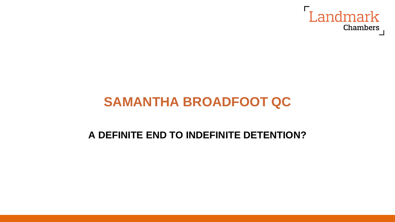

## **SAMANTHA BROADFOOT QC**

#### **A DEFINITE END TO INDEFINITE DETENTION?**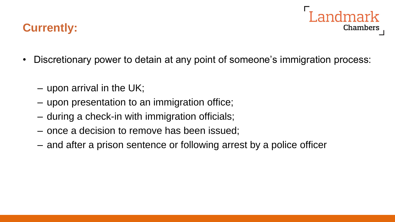### **Currently:**

- Landmark Chambers
- Discretionary power to detain at any point of someone's immigration process:
	- upon arrival in the UK;
	- upon presentation to an immigration office;
	- during a check-in with immigration officials;
	- once a decision to remove has been issued;
	- and after a prison sentence or following arrest by a police officer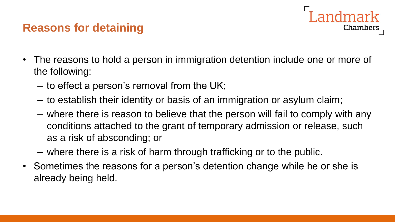### **Reasons for detaining**



- The reasons to hold a person in immigration detention include one or more of the following:
	- to effect a person's removal from the UK;
	- to establish their identity or basis of an immigration or asylum claim;
	- where there is reason to believe that the person will fail to comply with any conditions attached to the grant of temporary admission or release, such as a risk of absconding; or
	- where there is a risk of harm through trafficking or to the public.
- Sometimes the reasons for a person's detention change while he or she is already being held.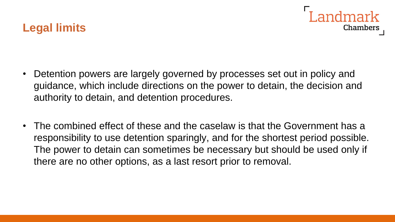



- Detention powers are largely governed by processes set out in policy and guidance, which include directions on the power to detain, the decision and authority to detain, and detention procedures.
- The combined effect of these and the caselaw is that the Government has a responsibility to use detention sparingly, and for the shortest period possible. The power to detain can sometimes be necessary but should be used only if there are no other options, as a last resort prior to removal.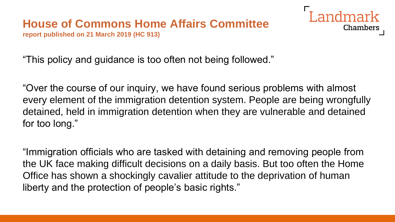# **House of Commons Home Affairs Committee**

**report published on 21 March 2019 (HC 913)**



"This policy and guidance is too often not being followed."

"Over the course of our inquiry, we have found serious problems with almost every element of the immigration detention system. People are being wrongfully detained, held in immigration detention when they are vulnerable and detained for too long."

"Immigration officials who are tasked with detaining and removing people from the UK face making difficult decisions on a daily basis. But too often the Home Office has shown a shockingly cavalier attitude to the deprivation of human liberty and the protection of people's basic rights."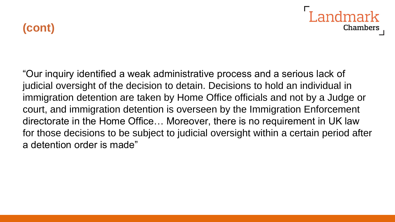**(cont)**



"Our inquiry identified a weak administrative process and a serious lack of judicial oversight of the decision to detain. Decisions to hold an individual in immigration detention are taken by Home Office officials and not by a Judge or court, and immigration detention is overseen by the Immigration Enforcement directorate in the Home Office… Moreover, there is no requirement in UK law for those decisions to be subject to judicial oversight within a certain period after a detention order is made"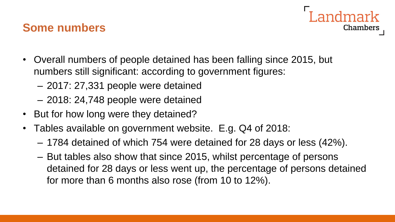#### **Some numbers**

- Overall numbers of people detained has been falling since 2015, but numbers still significant: according to government figures:
	- 2017: 27,331 people were detained
	- 2018: 24,748 people were detained
- But for how long were they detained?
- Tables available on government website. E.g. Q4 of 2018:
	- 1784 detained of which 754 were detained for 28 days or less (42%).
	- But tables also show that since 2015, whilst percentage of persons detained for 28 days or less went up, the percentage of persons detained for more than 6 months also rose (from 10 to 12%).

Chambers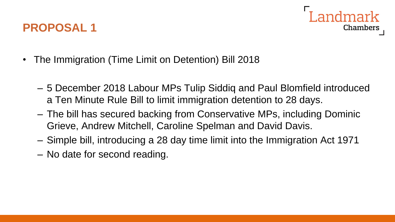### **PROPOSAL 1**



- The Immigration (Time Limit on Detention) Bill 2018
	- 5 December 2018 Labour MPs Tulip Siddiq and Paul Blomfield introduced a Ten Minute Rule Bill to limit immigration detention to 28 days.
	- The bill has secured backing from Conservative MPs, including Dominic Grieve, Andrew Mitchell, Caroline Spelman and David Davis.
	- Simple bill, introducing a 28 day time limit into the Immigration Act 1971
	- No date for second reading.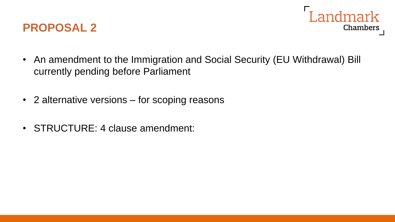



- An amendment to the Immigration and Social Security (EU Withdrawal) Bill currently pending before Parliament
- 2 alternative versions for scoping reasons
- STRUCTURE: 4 clause amendment: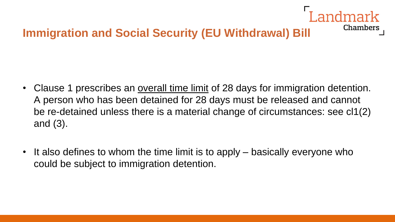## **Immigration and Social Security (EU Withdrawal) Bill**

• Clause 1 prescribes an overall time limit of 28 days for immigration detention. A person who has been detained for 28 days must be released and cannot be re-detained unless there is a material change of circumstances: see cl1(2) and (3).

Chambers

• It also defines to whom the time limit is to apply – basically everyone who could be subject to immigration detention.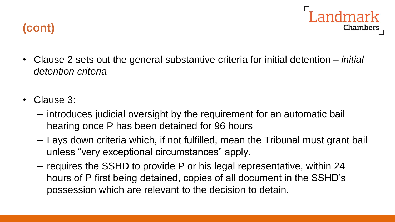



- Clause 2 sets out the general substantive criteria for initial detention *initial detention criteria*
- Clause 3:
	- introduces judicial oversight by the requirement for an automatic bail hearing once P has been detained for 96 hours
	- Lays down criteria which, if not fulfilled, mean the Tribunal must grant bail unless "very exceptional circumstances" apply.
	- requires the SSHD to provide P or his legal representative, within 24 hours of P first being detained, copies of all document in the SSHD's possession which are relevant to the decision to detain.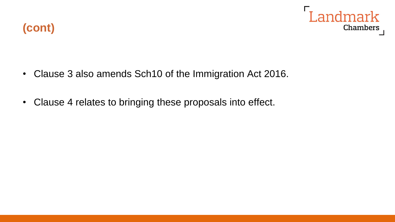

- Clause 3 also amends Sch10 of the Immigration Act 2016.
- Clause 4 relates to bringing these proposals into effect.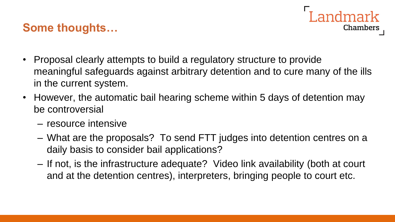#### **Some thoughts…**

- andmark Chambers
- Proposal clearly attempts to build a regulatory structure to provide meaningful safeguards against arbitrary detention and to cure many of the ills in the current system.
- However, the automatic bail hearing scheme within 5 days of detention may be controversial
	- resource intensive
	- What are the proposals? To send FTT judges into detention centres on a daily basis to consider bail applications?
	- If not, is the infrastructure adequate? Video link availability (both at court and at the detention centres), interpreters, bringing people to court etc.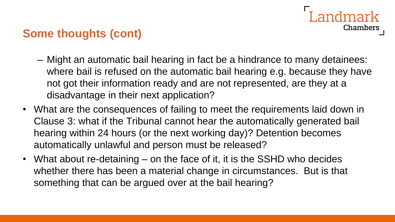## andmark **Chambers**

### **Some thoughts (cont)**

- Might an automatic bail hearing in fact be a hindrance to many detainees: where bail is refused on the automatic bail hearing e.g. because they have not got their information ready and are not represented, are they at a disadvantage in their next application?
- What are the consequences of failing to meet the requirements laid down in Clause 3: what if the Tribunal cannot hear the automatically generated bail hearing within 24 hours (or the next working day)? Detention becomes automatically unlawful and person must be released?
- What about re-detaining on the face of it, it is the SSHD who decides whether there has been a material change in circumstances. But is that something that can be argued over at the bail hearing?